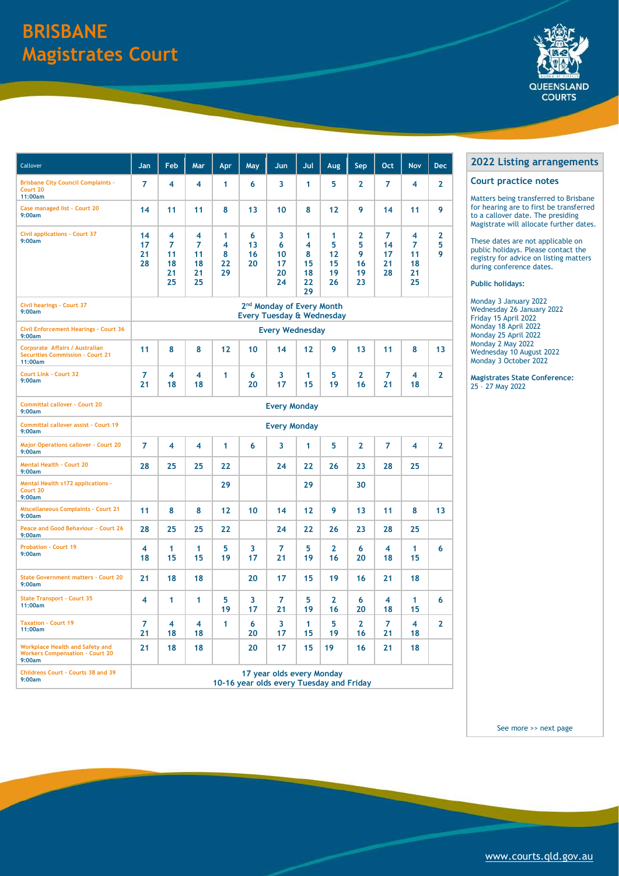| Callover                                                                             | Jan                                                                           | Feb                            | Mar                                             | Apr                     | May                 | Jun                            | Jul                                 | Aug                            | <b>Sep</b>                              | Oct                                    | <b>Nov</b>                     | <b>Dec</b>             |  |
|--------------------------------------------------------------------------------------|-------------------------------------------------------------------------------|--------------------------------|-------------------------------------------------|-------------------------|---------------------|--------------------------------|-------------------------------------|--------------------------------|-----------------------------------------|----------------------------------------|--------------------------------|------------------------|--|
| <b>Brisbane City Council Complaints -</b><br>Court 20<br>11:00am                     | $\overline{7}$                                                                | 4                              | 4                                               | 1                       | 6                   | 3                              | 1                                   | 5                              | $\mathbf{2}$                            | $\overline{7}$                         | 4                              | $\mathbf{2}$           |  |
| Case managed list - Court 20<br>9:00am                                               | 14                                                                            | 11                             | 11                                              | 8                       | 13                  | 10                             | 8                                   | 12                             | 9                                       | 14                                     | 11                             | 9                      |  |
| <b>Civil applications - Court 37</b><br>9:00am                                       | 14<br>17<br>21<br>28                                                          | 4<br>7<br>11<br>18<br>21<br>25 | $\overline{\bf 4}$<br>7<br>11<br>18<br>21<br>25 | 1<br>4<br>8<br>22<br>29 | 6<br>13<br>16<br>20 | 3<br>6<br>10<br>17<br>20<br>24 | 1<br>4<br>8<br>15<br>18<br>22<br>29 | 1<br>5<br>12<br>15<br>19<br>26 | $\mathbf 2$<br>5<br>9<br>16<br>19<br>23 | $\overline{7}$<br>14<br>17<br>21<br>28 | 4<br>7<br>11<br>18<br>21<br>25 | $\mathbf{2}$<br>5<br>9 |  |
| <b>Civil hearings - Court 37</b><br>9:00am                                           | 2 <sup>nd</sup> Monday of Every Month<br><b>Every Tuesday &amp; Wednesday</b> |                                |                                                 |                         |                     |                                |                                     |                                |                                         |                                        |                                |                        |  |
| <b>Civil Enforcement Hearings - Court 36</b><br>9:00am                               | <b>Every Wednesday</b>                                                        |                                |                                                 |                         |                     |                                |                                     |                                |                                         |                                        |                                |                        |  |
| Corporate Affairs / Australian<br><b>Securities Commission - Court 21</b><br>11:00am | 11                                                                            | 8                              | 8                                               | 12                      | 10                  | 14                             | 12                                  | 9                              | 13                                      | 11                                     | 8                              | 13                     |  |
| <b>Court Link - Court 32</b><br>9:00am                                               | $\overline{7}$<br>21                                                          | 4<br>18                        | 4<br>18                                         | 1                       | 6<br>20             | 3<br>17                        | 1<br>15                             | 5<br>19                        | $\overline{2}$<br>16                    | $\overline{7}$<br>21                   | 4<br>18                        | $\overline{2}$         |  |
| <b>Committal callover - Court 20</b><br>9:00am                                       | <b>Every Monday</b>                                                           |                                |                                                 |                         |                     |                                |                                     |                                |                                         |                                        |                                |                        |  |
| <b>Committal callover assist - Court 19</b><br>9:00am                                | <b>Every Monday</b>                                                           |                                |                                                 |                         |                     |                                |                                     |                                |                                         |                                        |                                |                        |  |
| <b>Major Operations callover - Court 20</b><br>9:00am                                | $\overline{7}$                                                                | 4                              | 4                                               | 1                       | 6                   | 3                              | 1                                   | 5                              | $\overline{2}$                          | 7                                      | 4                              | $\mathbf{2}$           |  |
| <b>Mental Health - Court 20</b><br>9:00am                                            | 28                                                                            | 25                             | 25                                              | 22                      |                     | 24                             | 22                                  | 26                             | 23                                      | 28                                     | 25                             |                        |  |
| <b>Mental Health s172 applications -</b><br>Court 20<br>9:00am                       |                                                                               |                                |                                                 | 29                      |                     |                                | 29                                  |                                | 30                                      |                                        |                                |                        |  |
| <b>Miscellaneous Complaints - Court 21</b><br>9:00am                                 | 11                                                                            | 8                              | 8                                               | $12$                    | 10                  | 14                             | 12                                  | 9                              | 13                                      | 11                                     | 8                              | 13                     |  |
| Peace and Good Behaviour - Court 26<br>9:00am                                        | 28                                                                            | 25                             | 25                                              | 22                      |                     | 24                             | 22                                  | 26                             | 23                                      | 28                                     | 25                             |                        |  |
| <b>Probation - Court 19</b><br>9:00am                                                | 4<br>18                                                                       | 1<br>15                        | 1<br>15                                         | 5<br>19                 | $\mathbf{3}$<br>17  | $\overline{7}$<br>21           | 5 <sup>5</sup><br>19                | $\overline{2}$<br>16           | 6<br>20                                 | 4<br>18                                | $\mathbf{1}$<br>15             | 6                      |  |
| <b>State Government matters - Court 20</b><br>9:00am                                 | 21                                                                            | 18                             | 18                                              |                         | 20                  | 17                             | 15                                  | 19                             | 16                                      | 21                                     | 18                             |                        |  |
| <b>State Transport - Court 35</b><br>11:00am                                         | $\overline{\mathbf{4}}$                                                       | $\mathbf{1}$                   | $\mathbf{1}$                                    | 5<br>19                 | 3<br>17             | $\overline{7}$<br>21           | 5<br>19                             | 2 <sup>1</sup><br>16           | 6<br>20                                 | 4<br>18                                | 1<br>15                        | 6                      |  |
| <b>Taxation - Court 19</b><br>11:00am                                                | $\overline{7}$<br>21                                                          | 4<br>18                        | $\overline{\mathbf{4}}$<br>18                   | $\mathbf{1}$            | 6<br>20             | 3<br>17                        | $\mathbf{1}$<br>15                  | 5<br>19                        | $\mathbf{2}$<br>16                      | $\overline{7}$<br>21                   | $\overline{4}$<br>18           | 2 <sup>1</sup>         |  |
| <b>Workplace Health and Safety and</b>                                               | 21                                                                            | 18                             | 18                                              |                         | 20                  | 17                             | 15                                  | 19                             | 16                                      | 21                                     | 18                             |                        |  |

**Workers Compensation – Court 20**



## **Listing arrangements**

#### **Court practice notes**

Matters being transferred to Brisbane for hearing are to first be transferred to a callover date. The presiding Magistrate will allocate further dates.

| Childrens Court - Courts 38 and 39<br>9:00am |  | 10-16 year olds every Tuesday and Friday | 17 year olds every Monday |  |  |  |                       |
|----------------------------------------------|--|------------------------------------------|---------------------------|--|--|--|-----------------------|
|                                              |  |                                          |                           |  |  |  |                       |
|                                              |  |                                          |                           |  |  |  | See more >> next page |
|                                              |  |                                          |                           |  |  |  |                       |
|                                              |  |                                          |                           |  |  |  |                       |
|                                              |  |                                          |                           |  |  |  |                       |
|                                              |  |                                          |                           |  |  |  |                       |
|                                              |  |                                          |                           |  |  |  |                       |
|                                              |  |                                          |                           |  |  |  |                       |
|                                              |  |                                          |                           |  |  |  |                       |

These dates are not applicable on public holidays. Please contact the registry for advice on listing matters during conference dates.

**Public holidays:**

Monday 3 January 2022 Wednesday 26 January 2022 Friday 15 April 2022 Monday 18 April 2022 Monday 25 April 2022 Monday 2 May 2022 Wednesday 10 August 2022 Monday 3 October 2022

**Magistrates State Conference:** – 27 May 2022

# **BRISBANE Magistrates Court**